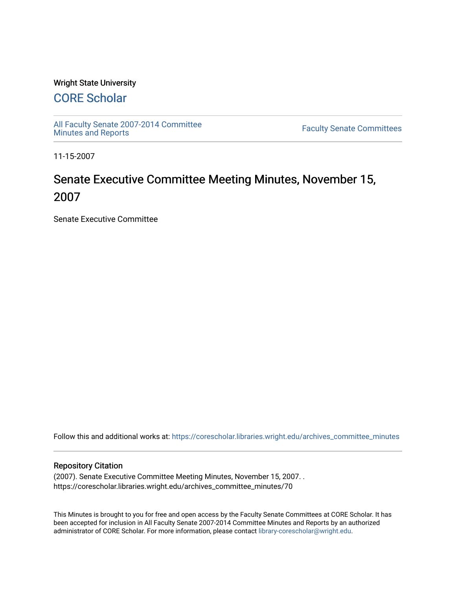### Wright State University

# [CORE Scholar](https://corescholar.libraries.wright.edu/)

[All Faculty Senate 2007-2014 Committee](https://corescholar.libraries.wright.edu/archives_committee_minutes)

**Faculty Senate Committees** 

11-15-2007

# Senate Executive Committee Meeting Minutes, November 15, 2007

Senate Executive Committee

Follow this and additional works at: [https://corescholar.libraries.wright.edu/archives\\_committee\\_minutes](https://corescholar.libraries.wright.edu/archives_committee_minutes?utm_source=corescholar.libraries.wright.edu%2Farchives_committee_minutes%2F70&utm_medium=PDF&utm_campaign=PDFCoverPages) 

#### Repository Citation

(2007). Senate Executive Committee Meeting Minutes, November 15, 2007. . https://corescholar.libraries.wright.edu/archives\_committee\_minutes/70

This Minutes is brought to you for free and open access by the Faculty Senate Committees at CORE Scholar. It has been accepted for inclusion in All Faculty Senate 2007-2014 Committee Minutes and Reports by an authorized administrator of CORE Scholar. For more information, please contact [library-corescholar@wright.edu.](mailto:library-corescholar@wright.edu)